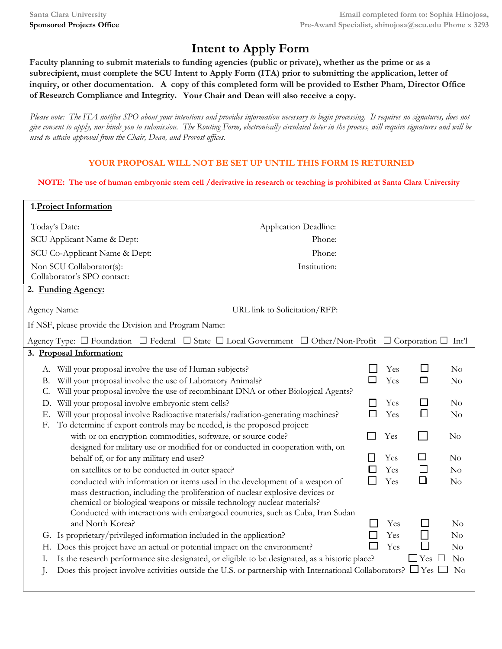## **Intent to Apply Form**

**Faculty planning to submit materials to funding agencies (public or private), whether as the prime or as a subrecipient, must complete the SCU Intent to Apply Form (ITA) prior to submitting the application, letter of inquiry, or other documentation. A copy of this completed form will be provided to Esther Pham, Director Office of Research Compliance and Integrity. Your Chair and Dean will also receive a copy.**

*Please note: The ITA notifies SPO about your intentions and provides information necessary to begin processing. It requires no signatures, does not give consent to apply, nor binds you to submission. The Routing Form, electronically circulated later in the process, will require signatures and will be used to attain approval from the Chair, Dean, and Provost offices.* 

## **YOUR PROPOSAL WILL NOT BE [SET UP UNTIL TH](mailto:shinojosa@scu.edu)IS FORM IS RETURNED**

## **NOTE: The use of human embryonic stem cell /derivative in research or teaching is prohibited at Santa Clara University**

| 1. Project Information                                                                                                                         |                               |            |               |                |  |  |  |  |
|------------------------------------------------------------------------------------------------------------------------------------------------|-------------------------------|------------|---------------|----------------|--|--|--|--|
| Today's Date:<br>Application Deadline:                                                                                                         |                               |            |               |                |  |  |  |  |
| SCU Applicant Name & Dept:<br>Phone:                                                                                                           |                               |            |               |                |  |  |  |  |
| Phone:<br>SCU Co-Applicant Name & Dept:                                                                                                        |                               |            |               |                |  |  |  |  |
| Institution:<br>Non SCU Collaborator(s):                                                                                                       |                               |            |               |                |  |  |  |  |
| Collaborator's SPO contact:                                                                                                                    |                               |            |               |                |  |  |  |  |
| 2. Funding Agency:                                                                                                                             |                               |            |               |                |  |  |  |  |
| Agency Name:                                                                                                                                   | URL link to Solicitation/RFP: |            |               |                |  |  |  |  |
| If NSF, please provide the Division and Program Name:                                                                                          |                               |            |               |                |  |  |  |  |
| Agency Type: $\Box$ Foundation $\Box$ Federal $\Box$ State $\Box$ Local Government $\Box$ Other/Non-Profit $\Box$ Corporation $\Box$ Int'l     |                               |            |               |                |  |  |  |  |
| 3. Proposal Information:                                                                                                                       |                               |            |               |                |  |  |  |  |
| A. Will your proposal involve the use of Human subjects?                                                                                       |                               | Yes        | $\mathbf{L}$  | No             |  |  |  |  |
| Will your proposal involve the use of Laboratory Animals?<br>В.                                                                                |                               | Yes        | $\Box$        | $\rm No$       |  |  |  |  |
| Will your proposal involve the use of recombinant DNA or other Biological Agents?<br>C.                                                        |                               |            |               |                |  |  |  |  |
| Will your proposal involve embryonic stem cells?<br>D.                                                                                         |                               | Yes        | $\mathcal{L}$ | No             |  |  |  |  |
| Will your proposal involve Radioactive materials/radiation-generating machines?<br>Е.                                                          |                               | Yes        | $\Box$        | $\rm No$       |  |  |  |  |
| To determine if export controls may be needed, is the proposed project:<br>F.                                                                  |                               |            |               |                |  |  |  |  |
| with or on encryption commodities, software, or source code?<br>designed for military use or modified for or conducted in cooperation with, on |                               | Yes        |               | $\rm No$       |  |  |  |  |
| behalf of, or for any military end user?                                                                                                       |                               | Yes        |               | $\rm No$       |  |  |  |  |
| on satellites or to be conducted in outer space?                                                                                               |                               | Yes        | $\Box$        | No             |  |  |  |  |
| conducted with information or items used in the development of a weapon of                                                                     |                               | Yes        | □             | $\rm No$       |  |  |  |  |
| mass destruction, including the proliferation of nuclear explosive devices or                                                                  |                               |            |               |                |  |  |  |  |
| chemical or biological weapons or missile technology nuclear materials?                                                                        |                               |            |               |                |  |  |  |  |
| Conducted with interactions with embargoed countries, such as Cuba, Iran Sudan                                                                 |                               |            |               |                |  |  |  |  |
| and North Korea?<br>G. Is proprietary/privileged information included in the application?                                                      |                               | Yes<br>Yes |               | $\rm No$<br>No |  |  |  |  |
| H. Does this project have an actual or potential impact on the environment?                                                                    |                               | Yes        |               | No             |  |  |  |  |
| Is the research performance site designated, or eligible to be designated, as a historic place?<br>Ι.                                          |                               |            | $\Box$ Yes    | N <sub>o</sub> |  |  |  |  |
| Does this project involve activities outside the U.S. or partnership with International Collaborators? $\Box$ Yes<br>J.                        |                               |            |               | No             |  |  |  |  |
|                                                                                                                                                |                               |            |               |                |  |  |  |  |